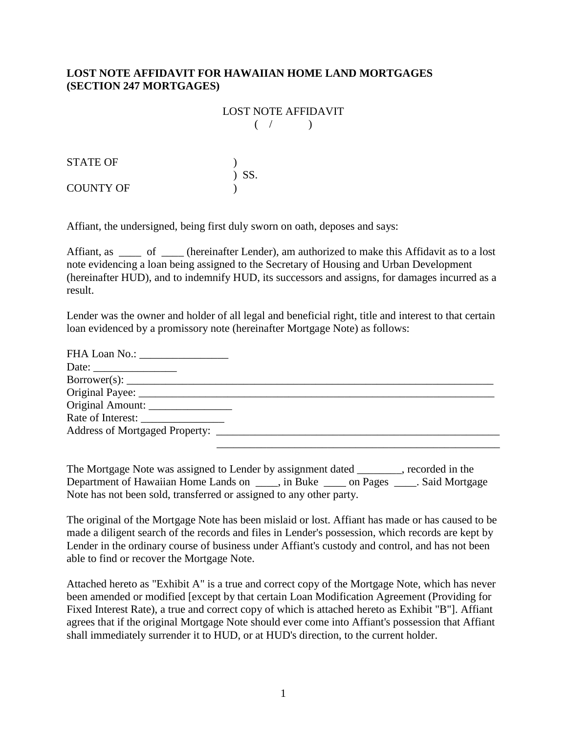## **LOST NOTE AFFIDAVIT FOR HAWAIIAN HOME LAND MORTGAGES (SECTION 247 MORTGAGES)**

## **LOST NOTE AFFIDAVIT**  $($   $/$   $)$

| STATE OF  |         |
|-----------|---------|
|           | $)$ SS. |
| COUNTY OF |         |

Affiant, the undersigned, being first duly sworn on oath, deposes and says:

Affiant, as \_\_\_\_\_ of \_\_\_\_ (hereinafter Lender), am authorized to make this Affidavit as to a lost note evidencing a loan being assigned to the Secretary of Housing and Urban Development (hereinafter HUD), and to indemnify HUD, its successors and assigns, for damages incurred as a result.

Lender was the owner and holder of all legal and beneficial right, title and interest to that certain loan evidenced by a promissory note (hereinafter Mortgage Note) as follows:

| FHA Loan No.: _________________ |  |
|---------------------------------|--|
|                                 |  |
| Borrower(s):                    |  |
|                                 |  |
| Original Amount:                |  |
|                                 |  |
|                                 |  |
|                                 |  |

The Mortgage Note was assigned to Lender by assignment dated \_\_\_\_\_\_\_, recorded in the Department of Hawaiian Home Lands on \_\_\_\_\_, in Buke \_\_\_\_\_ on Pages \_\_\_\_\_. Said Mortgage Note has not been sold, transferred or assigned to any other party.

The original of the Mortgage Note has been mislaid or lost. Affiant has made or has caused to be made a diligent search of the records and files in Lender's possession, which records are kept by Lender in the ordinary course of business under Affiant's custody and control, and has not been able to find or recover the Mortgage Note.

Attached hereto as "Exhibit A" is a true and correct copy of the Mortgage Note, which has never been amended or modified [except by that certain Loan Modification Agreement (Providing for Fixed Interest Rate), a true and correct copy of which is attached hereto as Exhibit "B"]. Affiant agrees that if the original Mortgage Note should ever come into Affiant's possession that Affiant shall immediately surrender it to HUD, or at HUD's direction, to the current holder.